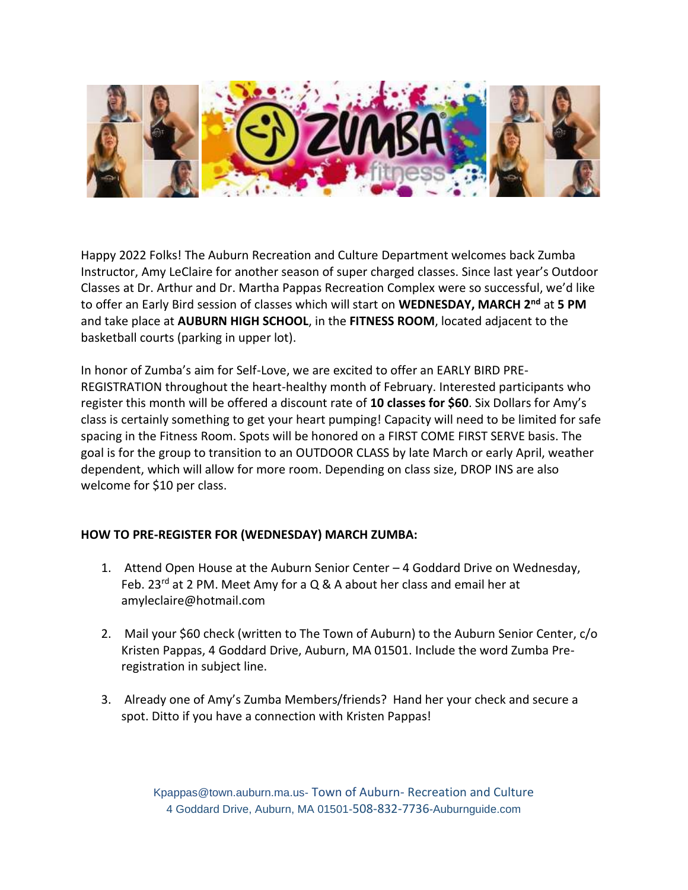

Happy 2022 Folks! The Auburn Recreation and Culture Department welcomes back Zumba Instructor, Amy LeClaire for another season of super charged classes. Since last year's Outdoor Classes at Dr. Arthur and Dr. Martha Pappas Recreation Complex were so successful, we'd like to offer an Early Bird session of classes which will start on **WEDNESDAY, MARCH 2nd** at **5 PM**  and take place at **AUBURN HIGH SCHOOL**, in the **FITNESS ROOM**, located adjacent to the basketball courts (parking in upper lot).

In honor of Zumba's aim for Self-Love, we are excited to offer an EARLY BIRD PRE-REGISTRATION throughout the heart-healthy month of February. Interested participants who register this month will be offered a discount rate of **10 classes for \$60**. Six Dollars for Amy's class is certainly something to get your heart pumping! Capacity will need to be limited for safe spacing in the Fitness Room. Spots will be honored on a FIRST COME FIRST SERVE basis. The goal is for the group to transition to an OUTDOOR CLASS by late March or early April, weather dependent, which will allow for more room. Depending on class size, DROP INS are also welcome for \$10 per class.

## **HOW TO PRE-REGISTER FOR (WEDNESDAY) MARCH ZUMBA:**

- 1. Attend Open House at the Auburn Senior Center 4 Goddard Drive on Wednesday, Feb. 23<sup>rd</sup> at 2 PM. Meet Amy for a Q & A about her class and email her at amyleclaire@hotmail.com
- 2. Mail your \$60 check (written to The Town of Auburn) to the Auburn Senior Center, c/o Kristen Pappas, 4 Goddard Drive, Auburn, MA 01501. Include the word Zumba Preregistration in subject line.
- 3. Already one of Amy's Zumba Members/friends? Hand her your check and secure a spot. Ditto if you have a connection with Kristen Pappas!